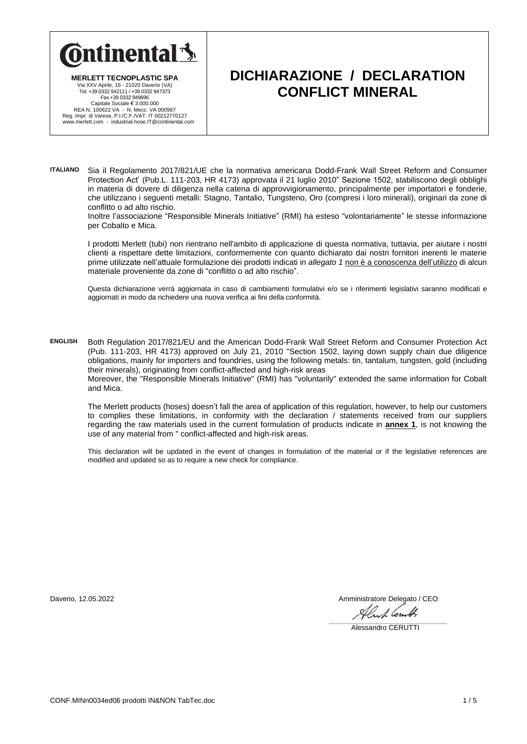

**MERLETT TECNOPLASTIC SPA** Via XXV Aprile, 16 - 21020 Daverio (VA) Tel. +39 0332 942111 / +39 0332 947373 Fax +39 0332 949696 Capitale Sociale € 3.000.000<br>REA N. 100622 VA - N. Mecc. VA 000987<br>Reg. Impr. di Varese, P.I./C.F./VAT: IT 00212770127<br>www.merlett.com - industrial-hose.IT@continental.com

# **DICHIARAZIONE / DECLARATION CONFLICT MINERAL**

**ITALIANO** Sia il Regolamento 2017/821/UE che la normativa americana Dodd-Frank Wall Street Reform and Consumer Protection Act' (Pub.L. 111-203, HR 4173) approvata il 21 luglio 2010" Sezione 1502, stabiliscono degli obblighi in materia di dovere di diligenza nella catena di approvvigionamento, principalmente per importatori e fonderie, che utilizzano i seguenti metalli: Stagno, Tantalio, Tungsteno, Oro (compresi i loro minerali), originari da zone di conflitto o ad alto rischio.

Inoltre l'associazione "Responsible Minerals Initiative" (RMI) ha esteso "volontariamente" le stesse informazione per Cobalto e Mica.

I prodotti Merlett (tubi) non rientrano nell'ambito di applicazione di questa normativa, tuttavia, per aiutare i nostri clienti a rispettare dette limitazioni, conformemente con quanto dichiarato dai nostri fornitori inerenti le materie prime utilizzate nell'attuale formulazione dei prodotti indicati in *allegato 1* non è a conoscenza dell'utilizzo di alcun materiale proveniente da zone di "conflitto o ad alto rischio".

Questa dichiarazione verrà aggiornata in caso di cambiamenti formulativi e/o se i riferimenti legislativi saranno modificati e aggiornati in modo da richiedere una nuova verifica ai fini della conformità.

**ENGLISH** Both Regulation 2017/821/EU and the American Dodd-Frank Wall Street Reform and Consumer Protection Act (Pub. 111-203, HR 4173) approved on July 21, 2010 "Section 1502, laying down supply chain due diligence obligations, mainly for importers and foundries, using the following metals: tin, tantalum, tungsten, gold (including their minerals), originating from conflict-affected and high-risk areas Moreover, the "Responsible Minerals Initiative" (RMI) has "voluntarily" extended the same information for Cobalt and Mica.

The Merlett products (hoses) doesn't fall the area of application of this regulation, however, to help our customers to complies these limitations, in conformity with the declaration / statements received from our suppliers regarding the raw materials used in the current formulation of products indicate in **annex 1**, is not knowing the use of any material from " conflict-affected and high-risk areas.

This declaration will be updated in the event of changes in formulation of the material or if the legislative references are modified and updated so as to require a new check for compliance.

Daverio, 12.05.2022 **Amministratore Delegato / CEO** 

Alus Cent.  $\mathcal{L}_\mathcal{L} = \mathcal{L}_\mathcal{L} = \mathcal{L}_\mathcal{L} = \mathcal{L}_\mathcal{L} = \mathcal{L}_\mathcal{L} = \mathcal{L}_\mathcal{L} = \mathcal{L}_\mathcal{L} = \mathcal{L}_\mathcal{L} = \mathcal{L}_\mathcal{L} = \mathcal{L}_\mathcal{L} = \mathcal{L}_\mathcal{L} = \mathcal{L}_\mathcal{L} = \mathcal{L}_\mathcal{L} = \mathcal{L}_\mathcal{L} = \mathcal{L}_\mathcal{L} = \mathcal{L}_\mathcal{L} = \mathcal{L}_\mathcal{L}$ 

Alessandro CERUTTI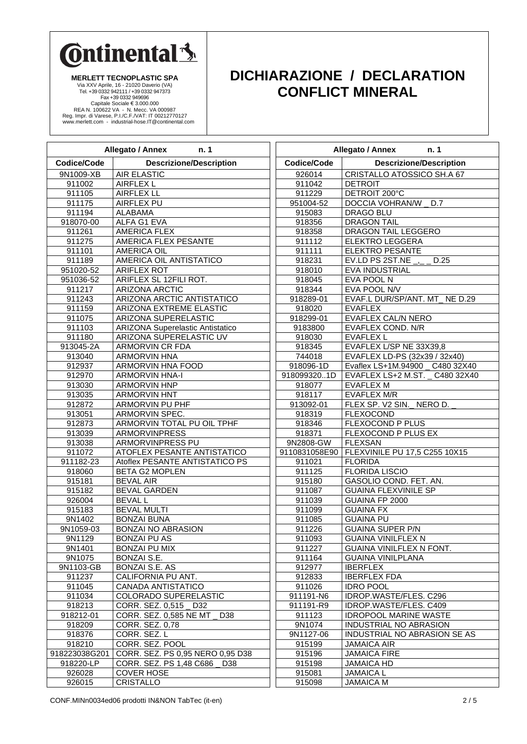

**MERLETT TECNOPLASTIC SPA** Via XXV Aprile, 16 - 21020 Daverio (VA)<br>Tel. +39 0332 944211 / +39 0332 947373<br>Fax +39 0332 949696<br>Capitale Sociale € 3.000.000<br>REA N. 100622 VA - N. Mecc. VA 000987<br>Reg. Impr. di Varese, P.I/C.F./NAT: IT 0212770127<br>www.m

### **DICHIARAZIONE / DECLARATION CONFLICT MINERAL**

| Allegato / Annex<br>n.1                       |                                                        | Allegato / Annex<br>n. 1 |                                                                 |  |
|-----------------------------------------------|--------------------------------------------------------|--------------------------|-----------------------------------------------------------------|--|
| Codice/Code<br><b>Descrizione/Description</b> |                                                        | Codice/Code              | <b>Descrizione/Description</b>                                  |  |
| 9N1009-XB                                     | <b>AIR ELASTIC</b>                                     | 926014                   | CRISTALLO ATOSSICO SH.A 67                                      |  |
| 911002                                        | <b>AIRFLEX L</b>                                       | 911042                   | <b>DETROIT</b>                                                  |  |
| 911105                                        | <b>AIRFLEX LL</b>                                      | 911229                   | DETROIT 200°C                                                   |  |
| 911175                                        | AIRFLEX PU                                             | 951004-52                | DOCCIA VOHRAN/W _ D.7                                           |  |
| 911194                                        | <b>ALABAMA</b>                                         | 915083                   | DRAGO BLU                                                       |  |
| 918070-00                                     | ALFA G1 EVA                                            | 918356                   | <b>DRAGON TAIL</b>                                              |  |
| 911261                                        | <b>AMERICA FLEX</b>                                    | 918358                   | DRAGON TAIL LEGGERO                                             |  |
| 911275                                        | AMERICA FLEX PESANTE                                   | 911112                   | <b>ELEKTRO LEGGERA</b>                                          |  |
| 911101                                        | <b>AMERICA OIL</b>                                     | 911111                   | <b>ELEKTRO PESANTE</b>                                          |  |
| 911189                                        | AMERICA OIL ANTISTATICO                                | 918231                   | EV.LD PS 2ST.NE $\overline{\phantom{a}}$<br>D.25                |  |
| 951020-52                                     | <b>ARIFLEX ROT</b>                                     | 918010                   | EVA INDUSTRIAL                                                  |  |
| 951036-52                                     | ARIFLEX SL 12FILI ROT.                                 | 918045                   | EVA POOL N                                                      |  |
| 911217                                        | <b>ARIZONA ARCTIC</b>                                  | 918344                   | EVA POOL N/V                                                    |  |
| 911243                                        | ARIZONA ARCTIC ANTISTATICO                             | 918289-01                | EVAF.L DUR/SP/ANT. MT_ NE D.29                                  |  |
| 911159                                        | ARIZONA EXTREME ELASTIC                                | 918020                   | <b>EVAFLEX</b>                                                  |  |
| 911075                                        | ARIZONA SUPERELASTIC                                   | 918299-01                | <b>EVAFLEX CAL/N NERO</b>                                       |  |
| 911103                                        | <b>ARIZONA Superelastic Antistatico</b>                | 9183800                  | EVAFLEX COND. N/R                                               |  |
| 911180                                        | ARIZONA SUPERELASTIC UV                                | 918030                   | <b>EVAFLEX L</b>                                                |  |
| 913045-2A                                     | ARMORVIN CR FDA                                        | 918345                   | EVAFLEX L/SP NE 33X39,8                                         |  |
| 913040                                        | <b>ARMORVIN HNA</b>                                    | 744018                   | EVAFLEX LD-PS (32x39 / 32x40)                                   |  |
| 912937                                        | ARMORVIN HNA FOOD                                      | 918096-1D                | Evaflex LS+1M.94900 _ C480 32X40                                |  |
| 912970                                        | <b>ARMORVIN HNA-I</b>                                  | 9180993201D              | EVAFLEX LS+2 M.ST. _ C480 32X40                                 |  |
| 913030                                        | <b>ARMORVIN HNP</b>                                    | 918077                   | <b>EVAFLEX M</b>                                                |  |
| 913035                                        | <b>ARMORVIN HNT</b>                                    | 918117                   | <b>EVAFLEX M/R</b>                                              |  |
| 912872                                        | ARMORVIN PU PHF                                        | 913092-01                | FLEX SP. V2 SIN._ NERO D.                                       |  |
| 913051                                        | ARMORVIN SPEC.                                         | 918319                   | <b>FLEXOCOND</b>                                                |  |
| 912873                                        | ARMORVIN TOTAL PU OIL TPHF                             | 918346                   | <b>FLEXOCOND P PLUS</b>                                         |  |
| 913039                                        | <b>ARMORVINPRESS</b>                                   | 918371                   | FLEXOCOND P PLUS EX<br><b>FLEXSAN</b>                           |  |
| 913038                                        | ARMORVINPRESS PU<br><b>ATOFLEX PESANTE ANTISTATICO</b> | 9N2808-GW                |                                                                 |  |
| 911072<br>911182-23                           | Atoflex PESANTE ANTISTATICO PS                         |                          | 9110831058E90   FLEXVINILE PU 17,5 C255 10X15<br><b>FLORIDA</b> |  |
|                                               | <b>BETA G2 MOPLEN</b>                                  | 911021<br>911125         | <b>FLORIDA LISCIO</b>                                           |  |
| 918060<br>915181                              | <b>BEVAL AIR</b>                                       | 915180                   | GASOLIO COND. FET. AN.                                          |  |
| 915182                                        | <b>BEVAL GARDEN</b>                                    | 911087                   | <b>GUAINA FLEXVINILE SP</b>                                     |  |
| 926004                                        | <b>BEVAL L</b>                                         | 911039                   | GUAINA FP 2000                                                  |  |
| 915183                                        | <b>BEVAL MULTI</b>                                     | 911099                   | <b>GUAINA FX</b>                                                |  |
| 9N1402                                        | <b>BONZAI BUNA</b>                                     | 911085                   | <b>GUAINA PU</b>                                                |  |
| 9N1059-03                                     | <b>BONZAI NO ABRASION</b>                              | 911226                   | <b>GUAINA SUPER P/N</b>                                         |  |
| 9N1129                                        | <b>BONZAI PU AS</b>                                    | 911093                   | <b>GUAINA VINILFLEX N</b>                                       |  |
| 9N1401                                        | <b>BONZAI PU MIX</b>                                   | 911227                   | <b>GUAINA VINILFLEX N FONT.</b>                                 |  |
| 9N1075                                        | BONZAI S.E.                                            | 911164                   | <b>GUAINA VINILPLANA</b>                                        |  |
| 9N1103-GB                                     | <b>BONZAI S.E. AS</b>                                  | 912977                   | <b>IBERFLEX</b>                                                 |  |
| 911237                                        | CALIFORNIA PU ANT.                                     | 912833                   | <b>IBERFLEX FDA</b>                                             |  |
| 911045                                        | CANADA ANTISTATICO                                     | 911026                   | <b>IDRO POOL</b>                                                |  |
| 911034                                        | COLORADO SUPERELASTIC                                  | 911191-N6                | IDROP.WASTE/FLES. C296                                          |  |
| 918213                                        | CORR. SEZ. 0,515 D32                                   | 911191-R9                | IDROP.WASTE/FLES. C409                                          |  |
| 918212-01                                     | CORR. SEZ. 0,585 NE MT<br>D38                          | 911123                   | <b>IDROPOOL MARINE WASTE</b>                                    |  |
| 918209                                        | CORR. SEZ. 0,78                                        | 9N1074                   | INDUSTRIAL NO ABRASION                                          |  |
| 918376                                        | CORR. SEZ. L                                           | 9N1127-06                | INDUSTRIAL NO ABRASION SE AS                                    |  |
| 918210                                        | CORR. SEZ. POOL                                        | 915199                   | <b>JAMAICA AIR</b>                                              |  |
| 918223038G201                                 | CORR. SEZ. PS 0,95 NERO 0,95 D38                       | 915196                   | <b>JAMAICA FIRE</b>                                             |  |
| 918220-LP                                     | CORR. SEZ. PS 1,48 C686<br>D38                         | 915198                   | <b>JAMAICA HD</b>                                               |  |
| 926028                                        | <b>COVER HOSE</b>                                      | 915081                   | <b>JAMAICA L</b>                                                |  |
| 926015                                        | CRISTALLO                                              | 915098                   | <b>JAMAICA M</b>                                                |  |

CONF.MINn0034ed06 prodotti IN&NON TabTec (it-en) 2 / 5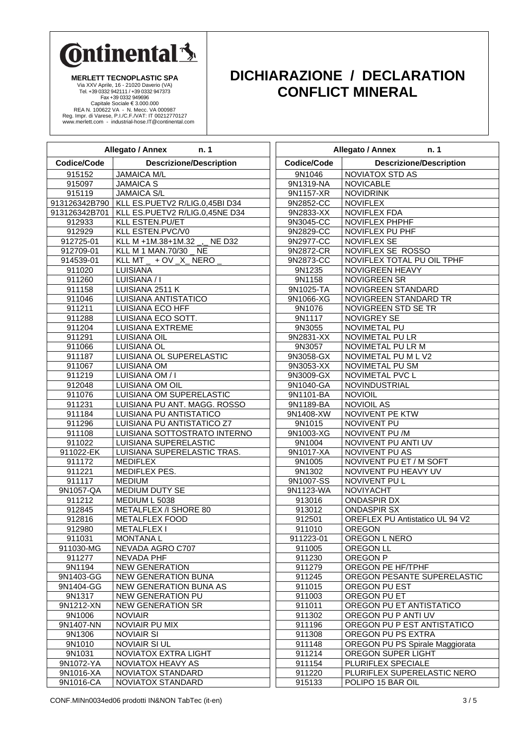

**MERLETT TECNOPLASTIC SPA** Via XXV Aprile, 16 - 21020 Daverio (VA)<br>Tel. +39 0332 944211 / +39 0332 947373<br>Fax +39 0332 949696<br>Capitale Sociale € 3.000.000<br>REA N. 100622 VA - N. Mecc. VA 000987<br>Reg. Impr. di Varese, P.I/C.F./NAT: IT 0212770127<br>www.m

### **DICHIARAZIONE / DECLARATION CONFLICT MINERAL**

| Allegato / Annex<br>n.1                       |                                                          | Allegato / Annex<br>n.1 |                                        |
|-----------------------------------------------|----------------------------------------------------------|-------------------------|----------------------------------------|
| Codice/Code<br><b>Descrizione/Description</b> |                                                          | <b>Codice/Code</b>      | <b>Descrizione/Description</b>         |
| 915152                                        | <b>JAMAICA M/L</b>                                       | 9N1046                  | <b>NOVIATOX STD AS</b>                 |
| 915097                                        | <b>JAMAICA S</b>                                         | 9N1319-NA               | <b>NOVICABLE</b>                       |
| 915119                                        | <b>JAMAICA S/L</b>                                       | 9N1157-XR               | <b>NOVIDRINK</b>                       |
| 913126342B790                                 | KLL ES.PUETV2 R/LIG.0,45BI D34                           | 9N2852-CC               | <b>NOVIFLEX</b>                        |
| 913126342B701                                 | KLL ES.PUETV2 R/LIG.0,45NE D34                           | 9N2833-XX               | <b>NOVIFLEX FDA</b>                    |
| 912933                                        | KLL ESTEN.PU/ET                                          | 9N3045-CC               | NOVIFLEX PHPHF                         |
| 912929                                        | KLL ESTEN.PVC/V0                                         | 9N2829-CC               | NOVIFLEX PU PHF                        |
| 912725-01                                     | KLL M +1M.38+1M.32 _, _ NE D32                           | 9N2977-CC               | <b>NOVIFLEX SE</b>                     |
| 912709-01                                     | KLL M 1 MAN.70/30 NE                                     | 9N2872-CR               | NOVIFLEX SE ROSSO                      |
| 914539-01                                     | KLL MT _ + OV _X _ NERO                                  | 9N2873-CC               | NOVIFLEX TOTAL PU OIL TPHF             |
| 911020                                        | LUISIANA                                                 | 9N1235                  | NOVIGREEN HEAVY                        |
| 911260                                        | LUISIANA / I                                             | 9N1158                  | <b>NOVIGREEN SR</b>                    |
| 911158                                        | LUISIANA 2511 K                                          | 9N1025-TA               | NOVIGREEN STANDARD                     |
| 911046                                        | LUISIANA ANTISTATICO                                     | 9N1066-XG               | NOVIGREEN STANDARD TR                  |
| 911211                                        | <b>LUISIANA ECO HFF</b>                                  | 9N1076                  | NOVIGREEN STD SE TR                    |
| 911288                                        | LUISIANA ECO SOTT.                                       | 9N1117                  | NOVIGREY SE                            |
| 911204                                        | <b>LUISIANA EXTREME</b>                                  | 9N3055                  | NOVIMETAL PU                           |
| 911291                                        | LUISIANA OIL                                             | 9N2831-XX               | NOVIMETAL PU LR                        |
| 911066                                        | LUISIANA OL                                              | 9N3057                  | NOVIMETAL PU LR M                      |
| 911187                                        | LUISIANA OL SUPERELASTIC                                 | 9N3058-GX               | NOVIMETAL PU M L V2                    |
| 911067                                        | <b>LUISIANA OM</b>                                       | 9N3053-XX               | NOVIMETAL PU SM                        |
| 911219                                        | LUISIANA OM / I                                          | 9N3009-GX               | NOVIMETAL PVC L<br>NOVINDUSTRIAL       |
| 912048                                        | LUISIANA OM OIL                                          | 9N1040-GA               | <b>NOVIOIL</b>                         |
| 911076<br>911231                              | LUISIANA OM SUPERELASTIC<br>LUISIANA PU ANT. MAGG. ROSSO | 9N1101-BA<br>9N1189-BA  | <b>NOVIOIL AS</b>                      |
| 911184                                        | LUISIANA PU ANTISTATICO                                  | 9N1408-XW               | NOVIVENT PE KTW                        |
| 911296                                        | LUISIANA PU ANTISTATICO Z7                               | 9N1015                  | NOVIVENT PU                            |
| 911108                                        | LUISIANA SOTTOSTRATO INTERNO                             | 9N1003-XG               | NOVIVENT PU /M                         |
| 911022                                        | LUISIANA SUPERELASTIC                                    | 9N1004                  | NOVIVENT PU ANTI UV                    |
| 911022-EK                                     | LUISIANA SUPERELASTIC TRAS.                              | 9N1017-XA               | <b>NOVIVENT PU AS</b>                  |
| 911172                                        | <b>MEDIFLEX</b>                                          | 9N1005                  | NOVIVENT PU ET / M SOFT                |
| 911221                                        | MEDIFLEX PES.                                            | 9N1302                  | NOVIVENT PU HEAVY UV                   |
| 911117                                        | <b>MEDIUM</b>                                            | 9N1007-SS               | NOVIVENT PU L                          |
| 9N1057-QA                                     | MEDIUM DUTY SE                                           | 9N1123-WA               | <b>NOVIYACHT</b>                       |
| 911212                                        | MEDIUM L 5038                                            | 913016                  | ONDASPIR DX                            |
| 912845                                        | <b>METALFLEX /I SHORE 80</b>                             | 913012                  | <b>ONDASPIR SX</b>                     |
| 912816                                        | <b>METALFLEX FOOD</b>                                    | 912501                  | <b>OREFLEX PU Antistatico UL 94 V2</b> |
| 912980                                        | <b>METALFLEX1</b>                                        | 911010                  | <b>OREGON</b>                          |
| 911031                                        | <b>MONTANAL</b>                                          | 911223-01               | OREGON L NERO                          |
| 911030-MG                                     | NEVADA AGRO C707                                         | 911005                  | OREGON LL                              |
| 911277                                        | NEVADA PHF                                               | 911230                  | OREGON P                               |
| 9N1194                                        | <b>NEW GENERATION</b>                                    | 911279                  | OREGON PE HF/TPHF                      |
| 9N1403-GG                                     | NEW GENERATION BUNA                                      | 911245                  | OREGON PESANTE SUPERELASTIC            |
| 9N1404-GG                                     | NEW GENERATION BUNA AS                                   | 911015                  | OREGON PU EST                          |
| 9N1317                                        | NEW GENERATION PU                                        | 911003                  | OREGON PU ET                           |
| 9N1212-XN                                     | <b>NEW GENERATION SR</b>                                 | 911011                  | OREGON PU ET ANTISTATICO               |
| 9N1006                                        | <b>NOVIAIR</b>                                           | 911302                  | OREGON PU P ANTI UV                    |
| 9N1407-NN                                     | NOVIAIR PU MIX                                           | 911196                  | OREGON PU P EST ANTISTATICO            |
| 9N1306                                        | <b>NOVIAIR SI</b>                                        | 911308                  | OREGON PU PS EXTRA                     |
| 9N1010                                        | <b>NOVIAIR SI UL</b>                                     | 911148                  | OREGON PU PS Spirale Maggiorata        |
| 9N1031                                        | NOVIATOX EXTRA LIGHT                                     | 911214                  | OREGON SUPER LIGHT                     |
| 9N1072-YA                                     | NOVIATOX HEAVY AS                                        | 911154                  | PLURIFLEX SPECIALE                     |
| 9N1016-XA                                     | NOVIATOX STANDARD                                        | 911220                  | PLURIFLEX SUPERELASTIC NERO            |
| 9N1016-CA                                     | NOVIATOX STANDARD                                        | 915133                  | POLIPO 15 BAR OIL                      |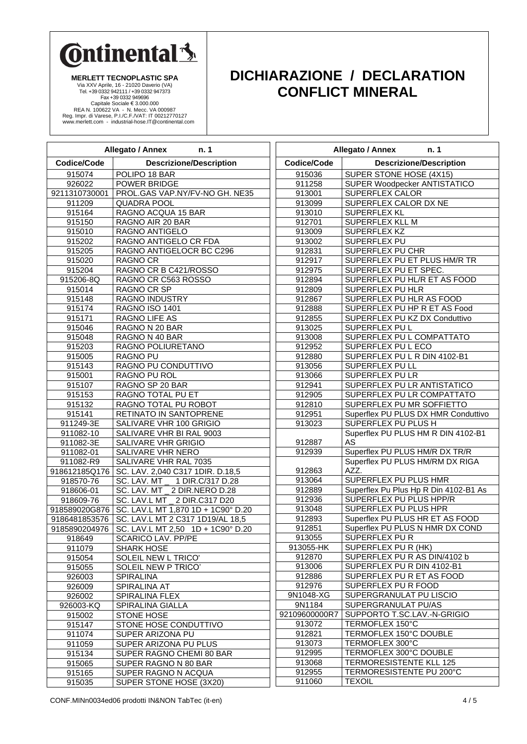

**MERLETT TECNOPLASTIC SPA** Via XXV Aprile, 16 - 21020 Daverio (VA) Tel. +39 0332 942111 / +39 0332 947373 Fax +39 0332 949696 Capitale Sociale € 3.000.000<br>REA N. 100622 VA - N. Mecc. VA 000987<br>Reg. Impr. di Varese, P.I./C.F./VAT: IT 00212770127<br>www.merlett.com - industrial-hose.IT@continental.com

### **DICHIARAZIONE / DECLARATION CONFLICT MINERAL**

| Allegato / Annex<br>n. 1 |                                                    |                |
|--------------------------|----------------------------------------------------|----------------|
| Codice/Code              | <b>Descrizione/Description</b>                     | Codi           |
| 915074                   | POLIPO 18 BAR                                      | Э.             |
| 926022                   | POWER BRIDGE                                       | д.             |
| 9211310730001            | PROL.GAS VAP.NY/FV-NO GH. NE35                     | Э.             |
| 911209                   | <b>QUADRA POOL</b>                                 | 9 <sup>1</sup> |
| 915164                   | RAGNO ACQUA 15 BAR                                 | Э.             |
| 915150                   | RAGNO AIR 20 BAR                                   | $\partial$ .   |
| 915010                   | RAGNO ANTIGELO                                     | д.             |
| 915202                   | RAGNO ANTIGELO CR FDA                              | 9 <sup>1</sup> |
| 915205                   | RAGNO ANTIGELOCR BC C296                           | 9              |
| 915020                   | <b>RAGNO CR</b>                                    | 9 <sup>1</sup> |
| 915204                   | RAGNO CR B C421/ROSSO                              | 9              |
| 915206-8Q                | RAGNO CR C563 ROSSO                                | 9 <sup>1</sup> |
| 915014                   | RAGNO CR SP                                        | 9 <sup>1</sup> |
| 915148                   | RAGNO INDUSTRY                                     | 9 <sup>1</sup> |
| 915174                   | <b>RAGNO ISO 1401</b>                              | Э.             |
| 915171                   | RAGNO LIFE AS                                      | 9              |
| 915046                   | RAGNO N 20 BAR                                     | 9 <sup>1</sup> |
| 915048                   | RAGNO N 40 BAR                                     | 9 <sup>1</sup> |
| 915203                   | <b>RAGNO POLIURETANO</b>                           | 9 <sup>1</sup> |
| 915005                   | <b>RAGNO PU</b>                                    | Э.             |
| 915143                   | RAGNO PU CONDUTTIVO                                | 9 <sup>1</sup> |
| 915001                   | RAGNO PU ROL                                       | 9 <sup>1</sup> |
| 915107                   | RAGNO SP 20 BAR                                    | 9 <sup>1</sup> |
| 915153                   | RAGNO TOTAL PU ET                                  | Э.             |
| 915132                   | RAGNO TOTAL PU ROBOT                               | 9              |
| 915141                   | RETINATO IN SANTOPRENE                             | Э.             |
| 911249-3E                | SALIVARE VHR 100 GRIGIO                            | 9 <sup>1</sup> |
| 911082-10                | SALIVARE VHR BI RAL 9003                           |                |
| 911082-3E                | SALIVARE VHR GRIGIO                                | Э.             |
| 911082-01                | SALIVARE VHR NERO                                  | д.             |
| 911082-R9                | SALIVARE VHR RAL 7035                              |                |
| 918612185Q176            | SC. LAV. 2,040 C317 1DIR. D.18,5                   | Э.             |
| 918570-76                | SC. LAV. MT<br>1 DIR.C/317 D.28                    | 9.             |
| 918606-01                | SC. LAV. MT _ 2 DIR.NERO D.28                      | 9 <sup>1</sup> |
| 918609-76                | SC. LAV.L MT _ 2 DIR.C317 D20                      | Э.             |
|                          | 918589020G876   SC. LAV.L MT 1,870 1D + 1C90° D.20 | 9              |
| 9186481853576            | SC. LAV.L MT 2 C317 1D19/AL 18,5                   | 9 <sup>1</sup> |
| 9185890204976            | SC. LAV.L MT 2,50 1D + 1C90° D.20                  | 9 <sup>1</sup> |
| 918649                   | <b>SCARICO LAV. PP/PE</b>                          | 9 <sup>o</sup> |
| 911079                   | <b>SHARK HOSE</b>                                  | 913            |
| 915054                   | SOLEIL NEW L TRICO'                                | 9'             |
| 915055                   | SOLEIL NEW P TRICO'                                | 9 <sup>1</sup> |
| 926003                   | <b>SPIRALINA</b>                                   | 9 <sup>1</sup> |
| 926009                   | SPIRALINA AT                                       | 9 <sup>1</sup> |
| 926002                   | SPIRALINA FLEX                                     | 9N1            |
| 926003-KQ                | SPIRALINA GIALLA                                   | 16             |
| 915002                   | <b>STONE HOSE</b>                                  | 92109          |
| 915147                   | STONE HOSE CONDUTTIVO                              | д.             |
| 911074                   | SUPER ARIZONA PU                                   | 9.             |
| 911059                   | SUPER ARIZONA PU PLUS                              | д.             |
| 915134                   | SUPER RAGNO CHEMI 80 BAR                           | 9.             |
| 915065                   | SUPER RAGNO N 80 BAR                               | Э.             |
| 915165                   | SUPER RAGNO N ACQUA                                | д.             |
| 915035                   | SUPER STONE HOSE (3X20)                            | д.             |

|                    | Allegato / Annex<br>n. 1                 |  |  |
|--------------------|------------------------------------------|--|--|
| <b>Codice/Code</b> | <b>Descrizione/Description</b>           |  |  |
| 915036             | SUPER STONE HOSE (4X15)                  |  |  |
| 911258             | SUPER Woodpecker ANTISTATICO             |  |  |
| 913001             | <b>SUPERFLEX CALOR</b>                   |  |  |
| 913099             | SUPERFLEX CALOR DX NE                    |  |  |
| 913010             | SUPERFLEX KL                             |  |  |
| 912701             | SUPERFLEX KLL M                          |  |  |
| 913009             | <b>SUPERFLEX KZ</b>                      |  |  |
| 913002             | SUPERFLEX PU                             |  |  |
| 912831             | <b>SUPERFLEX PU CHR</b>                  |  |  |
| 912917             | SUPERFLEX PU ET PLUS HM/R TR             |  |  |
| 912975             | SUPERFLEX PU ET SPEC.                    |  |  |
| 912894             | SUPERFLEX PU HL/R ET AS FOOD             |  |  |
| 912809             | SUPERFLEX PU HLR                         |  |  |
| 912867             | SUPERFLEX PU HLR AS FOOD                 |  |  |
| 912888             | SUPERFLEX PU HP R ET AS Food             |  |  |
| 912855             | SUPERFLEX PU KZ DX Conduttivo            |  |  |
| 913025             | <b>SUPERFLEX PUL</b>                     |  |  |
| 913008             | SUPERFLEX PU L COMPATTATO                |  |  |
| 912952             | <b>SUPERFLEX PU L ECO</b>                |  |  |
| 912880             | SUPERFLEX PU L R DIN 4102-B1             |  |  |
| 913056             | SUPERFLEX PU LL                          |  |  |
| 913066             | SUPERFLEX PU LR                          |  |  |
| 912941             | SUPERFLEX PU LR ANTISTATICO              |  |  |
| 912905             | SUPERFLEX PU LR COMPATTATO               |  |  |
| 912810             | SUPERFLEX PU MR SOFFIETTO                |  |  |
| 912951             | Superflex PU PLUS DX HMR Conduttivo      |  |  |
| 913023             | SUPERFLEX PU PLUS H                      |  |  |
| 912887             | Superflex PU PLUS HM R DIN 4102-B1<br>AS |  |  |
| 912939             | Superflex PU PLUS HM/R DX TR/R           |  |  |
|                    | Superflex PU PLUS HM/RM DX RIGA          |  |  |
| 912863             | AZZ.                                     |  |  |
| 913064             | SUPERFLEX PU PLUS HMR                    |  |  |
| 912889             | Superflex Pu Plus Hp R Din 4102-B1 As    |  |  |
| 912936             | SUPERFLEX PU PLUS HPP/R                  |  |  |
| 913048             | SUPERFLEX PU PLUS HPR                    |  |  |
| 912893             | Superflex PU PLUS HR ET AS FOOD          |  |  |
| 912851             | Superflex PU PLUS N HMR DX COND          |  |  |
| 913055             | SUPERFLEX PUR                            |  |  |
| 913055-HK          | SUPERFLEX PU R (HK)                      |  |  |
| 912870             | SUPERFLEX PU R AS DIN/4102 b             |  |  |
| 913006             | SUPERFLEX PU R DIN 4102-B1               |  |  |
| 912886             | SUPERFLEX PU R ET AS FOOD                |  |  |
| 912976             | SUPERFLEX PU R FOOD                      |  |  |
| 9N1048-XG          | SUPERGRANULAT PU LISCIO                  |  |  |
| 9N1184             | SUPERGRANULAT PU/AS                      |  |  |
| 92109600000R7      | SUPPORTO T.SC.LAV.-N-GRIGIO              |  |  |
| 913072             | TERMOFLEX 150°C                          |  |  |
| 912821             | TERMOFLEX 150°C DOUBLE                   |  |  |
| 913073             | TERMOFLEX 300°C                          |  |  |
| 912995             | TERMOFLEX 300°C DOUBLE                   |  |  |
| 913068             | TERMORESISTENTE KLL 125                  |  |  |
| 912955             | TERMORESISTENTE PU 200°C                 |  |  |
| 911060             | <b>TEXOIL</b>                            |  |  |